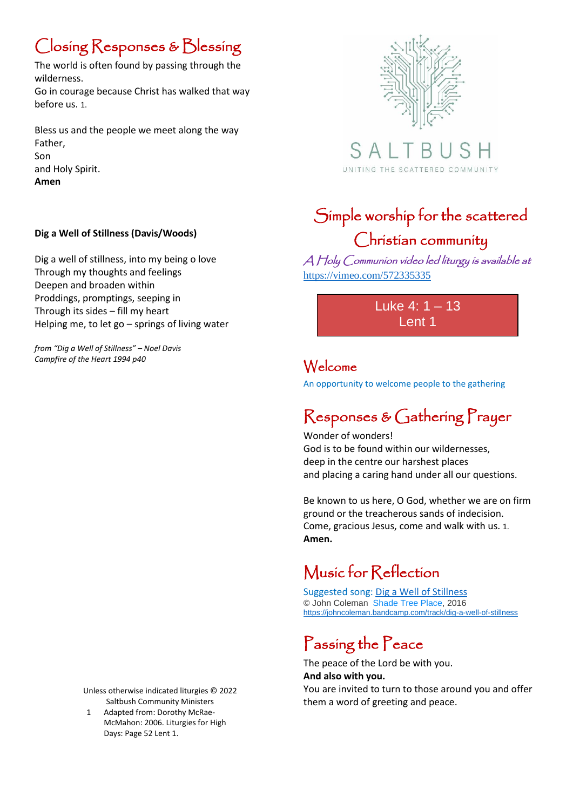# Closing Responses & Blessing

The world is often found by passing through the wilderness. Go in courage because Christ has walked that way before us. 1.

Bless us and the people we meet along the way Father, Son and Holy Spirit. **Amen**

#### **Dig a Well of Stillness (Davis/Woods)**

Dig a well of stillness, into my being o love Through my thoughts and feelings Deepen and broaden within Proddings, promptings, seeping in Through its sides – fill my heart Helping me, to let go – springs of living water

*from "Dig a Well of Stillness" – Noel Davis Campfire of the Heart 1994 p40*

> Unless otherwise indicated liturgies © 2022 Saltbush Community Ministers

1 Adapted from: Dorothy McRae-McMahon: 2006. Liturgies for High Days: Page 52 Lent 1.



S A UNITING THE SCATTERED COMMUNITY

## Simple worship for the scattered Christian community

A Holy Communion video led liturgy is available at <https://vimeo.com/572335335>

> Luke 4: 1 – 13 Lent 1

#### Welcome

An opportunity to welcome people to the gathering

## Responses & Gathering Prayer

Wonder of wonders! God is to be found within our wildernesses, deep in the centre our harshest places and placing a caring hand under all our questions.

Be known to us here, O God, whether we are on firm ground or the treacherous sands of indecision. Come, gracious Jesus, come and walk with us. 1. **Amen.**

# Music for Reflection

Suggested song: [Dig a Well of Stillness](https://johncoleman.bandcamp.com/track/dig-a-well-of-stillness) © John Coleman [Shade Tree Place,](https://johncoleman.bandcamp.com/album/shade-tree-place) 2016 <https://johncoleman.bandcamp.com/track/dig-a-well-of-stillness>

# Passing the Peace

The peace of the Lord be with you. **And also with you.**

You are invited to turn to those around you and offer them a word of greeting and peace.